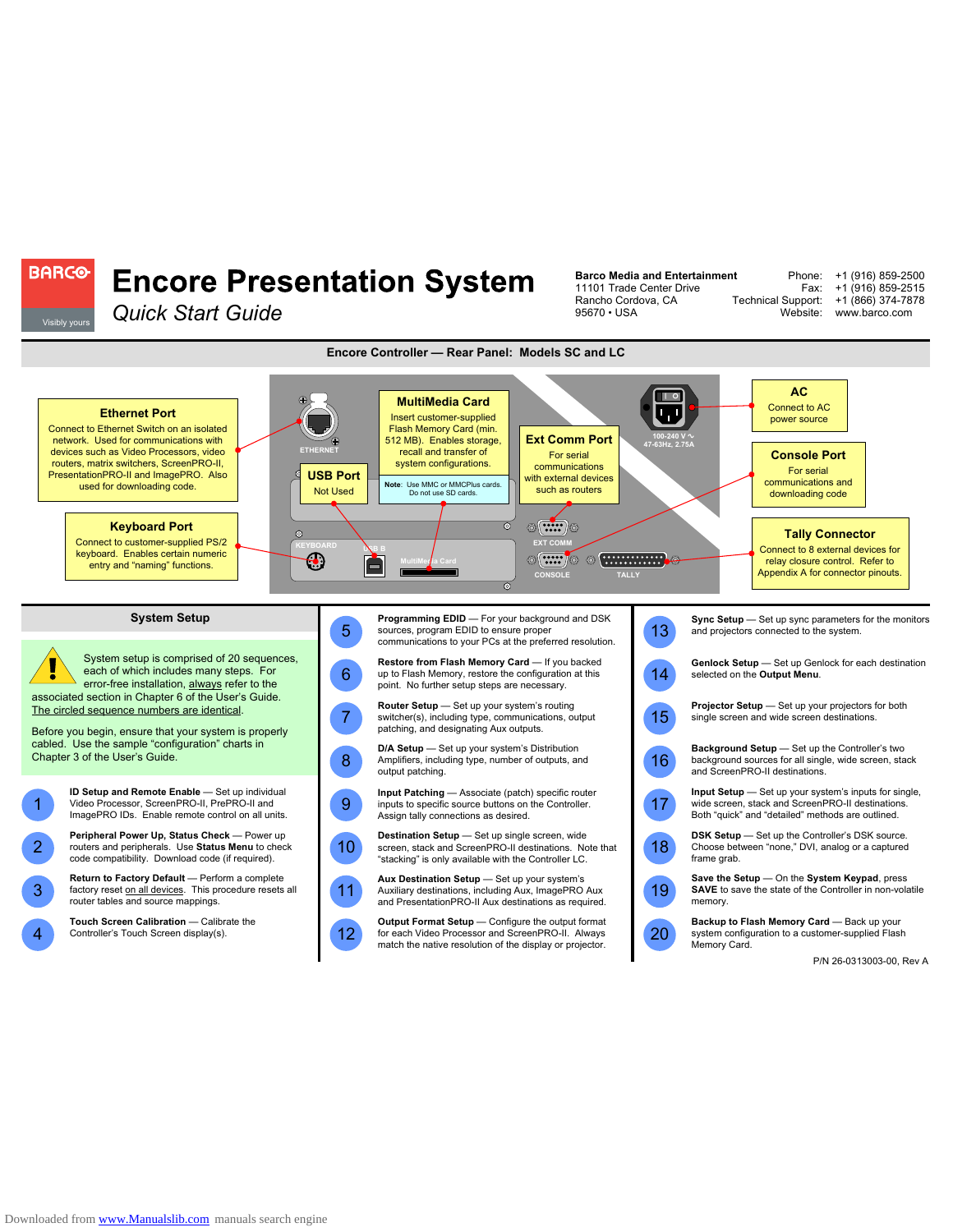

**Barco Media and Entertainment** 11101 Trade Center Drive Rancho Cordova, CA

Phone: Fax:

+1 (916) 859-2500 +1 (916) 859-2515 +1 (866) 374-7878

Technical Support:

## **Encore Presentation System**

**BARCO-**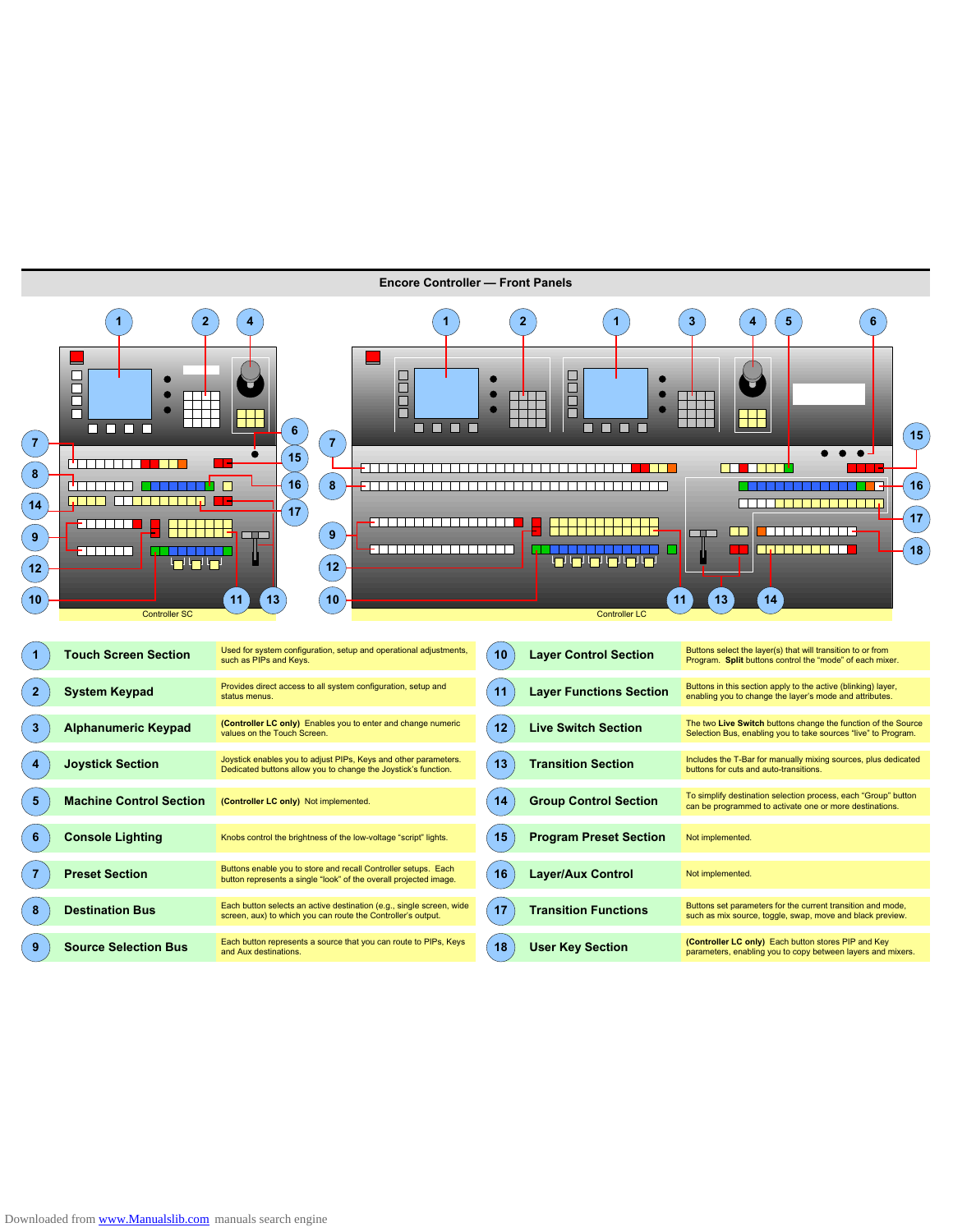

Downloaded from www.Manualslib.com manuals search engine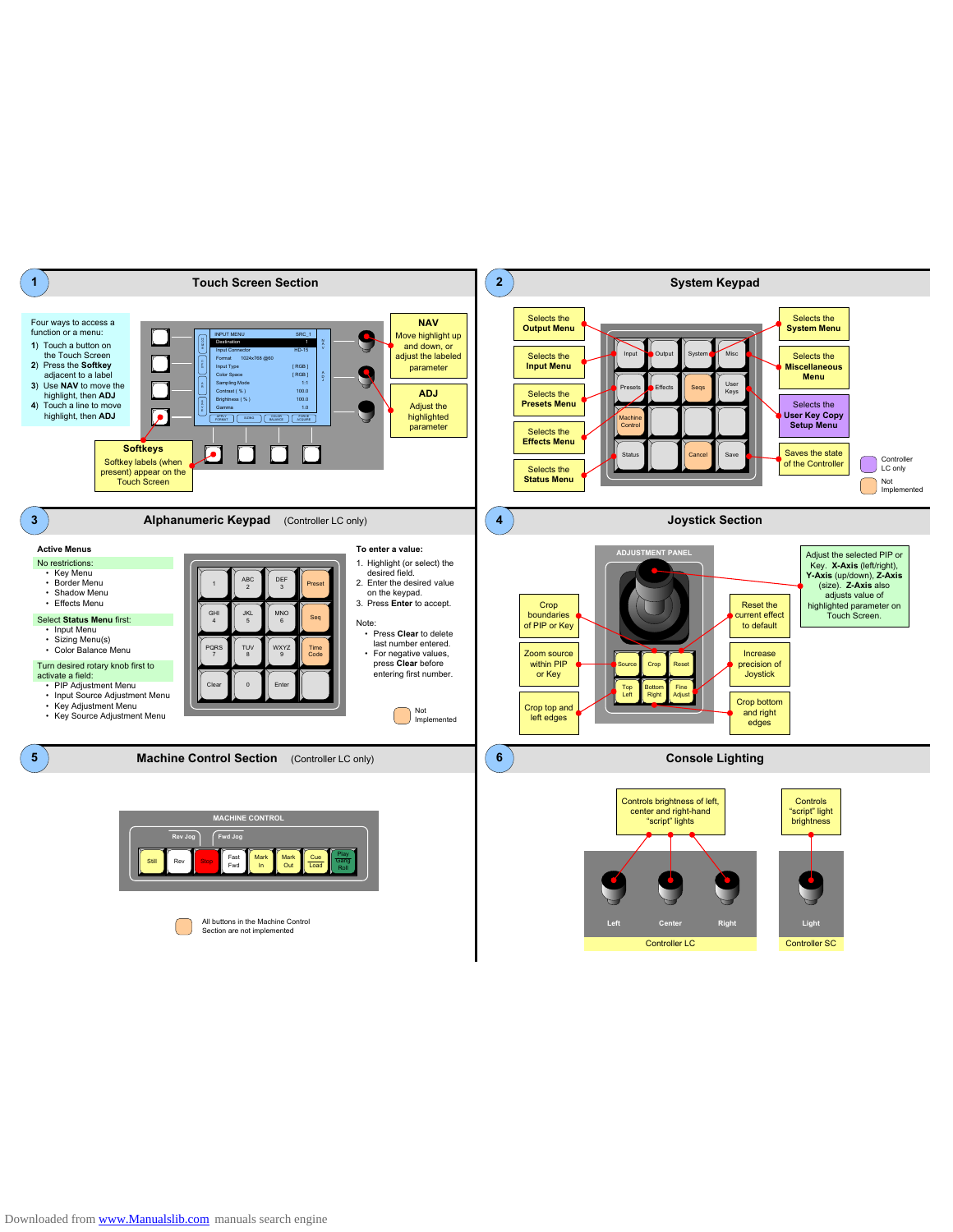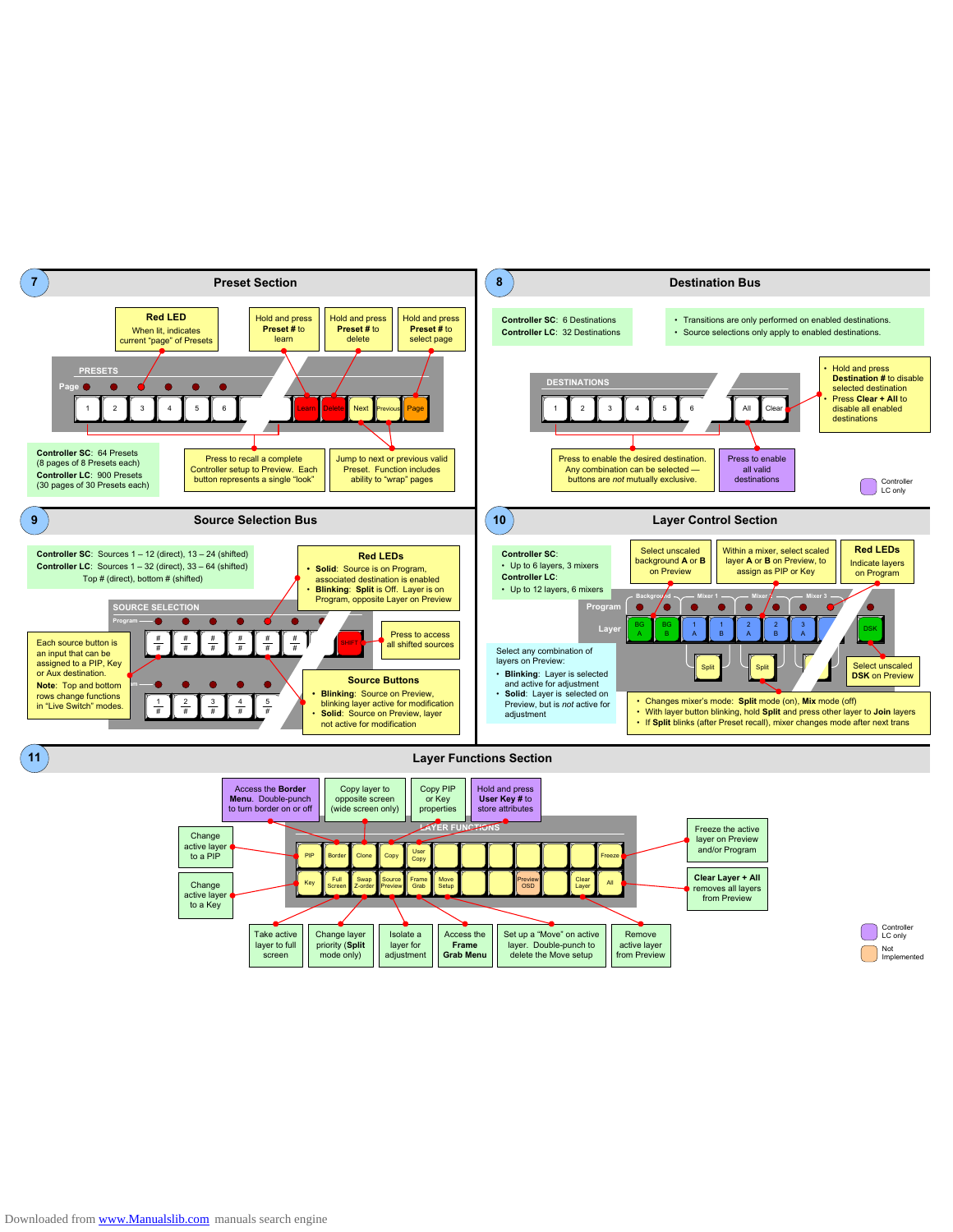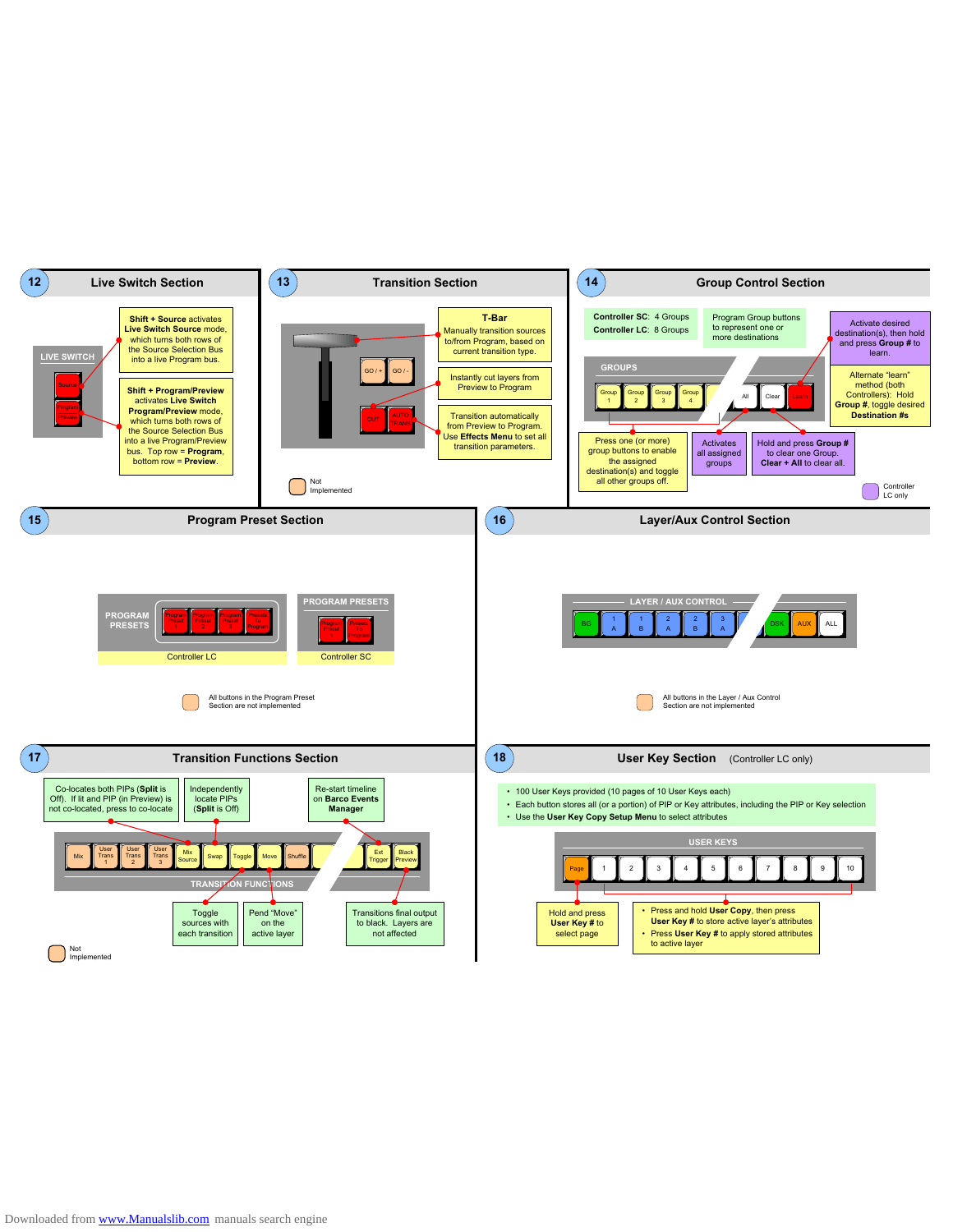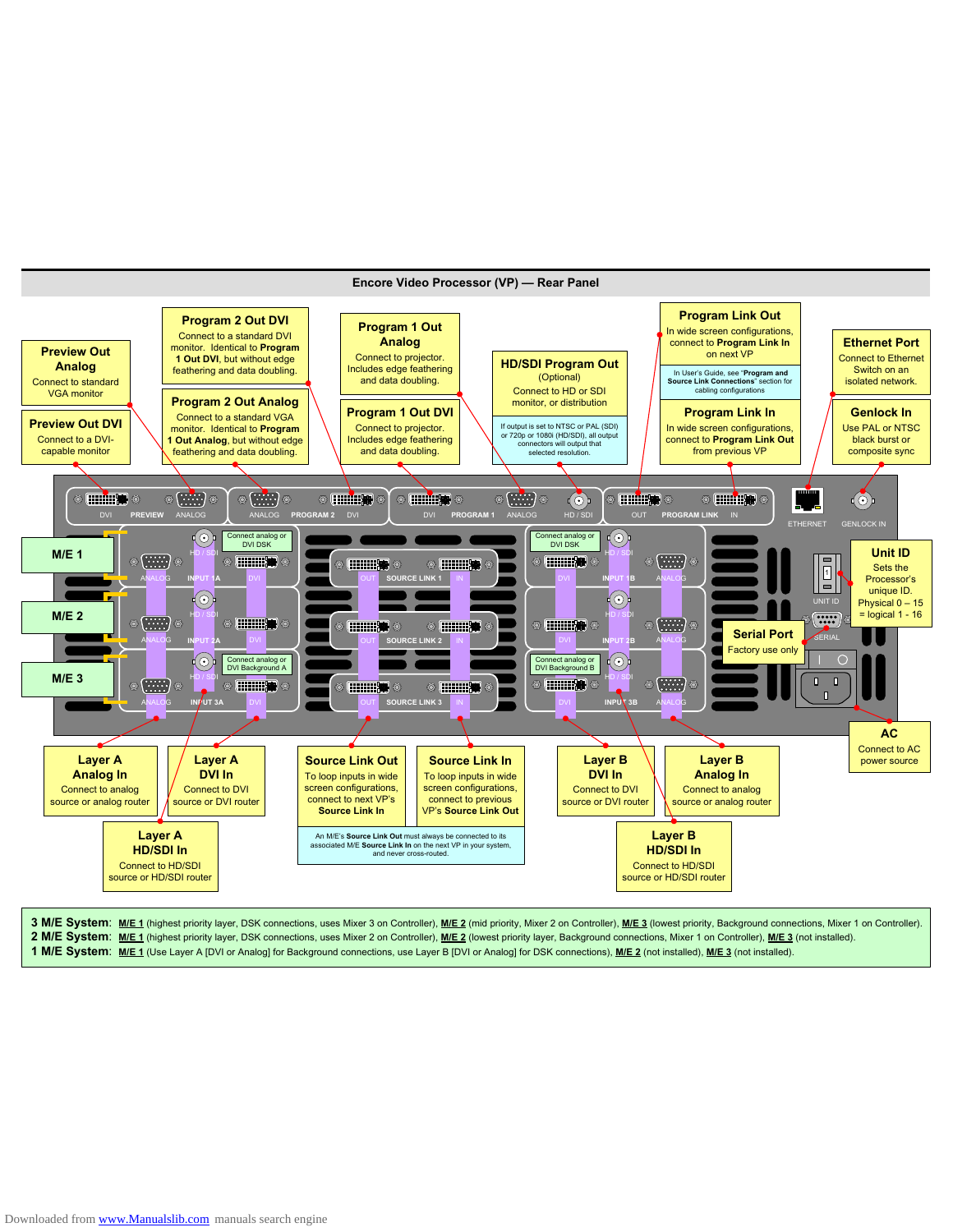

## **2 M/E System**: **M/E 1** (highest priority layer, DSK connections, uses Mixer 2 on Controller), **M/E 2** (lowest priority layer, Background connections, Mixer 1 on Controller), **M/E 3** (not installed).

**1 M/E System**: **M/E 1** (Use Layer A [DVI or Analog] for Background connections, use Layer B [DVI or Analog] for DSK connections), **M/E 2** (not installed), **M/E 3** (not installed).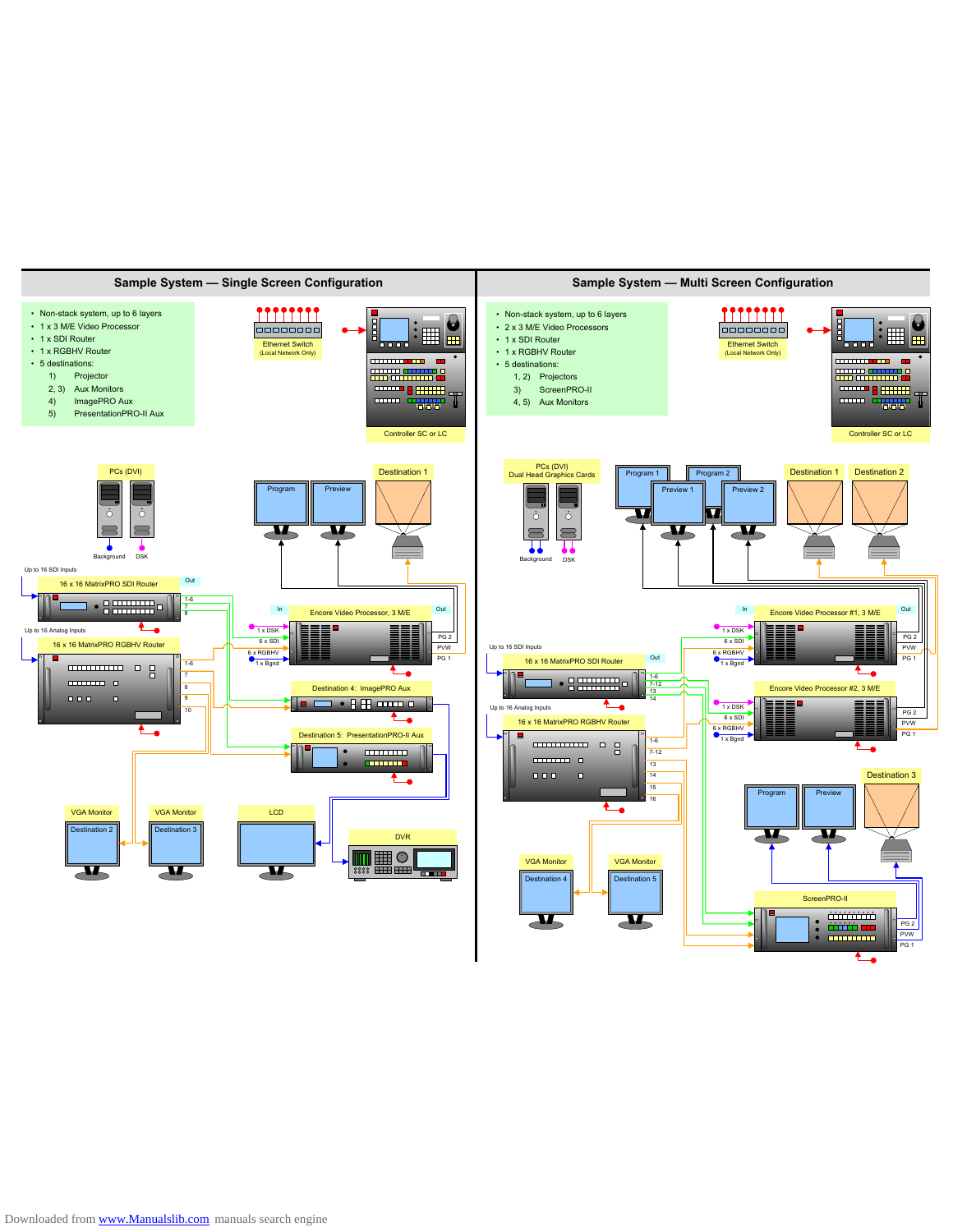